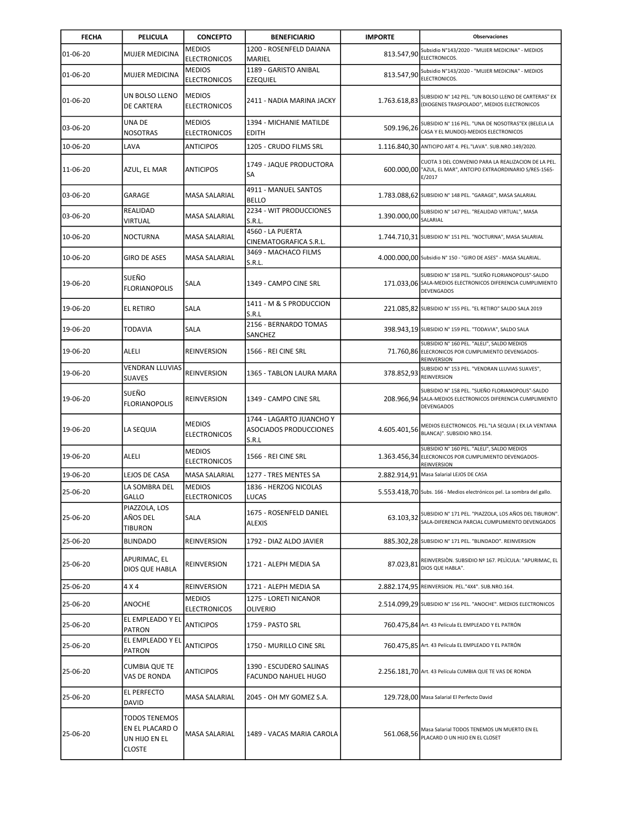| <b>FECHA</b> | PELICULA                                                                  | <b>CONCEPTO</b>                      | <b>BENEFICIARIO</b>                                         | <b>IMPORTE</b> | <b>Observaciones</b>                                                                                                                 |
|--------------|---------------------------------------------------------------------------|--------------------------------------|-------------------------------------------------------------|----------------|--------------------------------------------------------------------------------------------------------------------------------------|
| 01-06-20     | <b>MUJER MEDICINA</b>                                                     | <b>MEDIOS</b><br><b>ELECTRONICOS</b> | 1200 - ROSENFELD DAIANA<br>MARIEL                           | 813.547,90     | Subsidio N°143/2020 - "MUJER MEDICINA" - MEDIOS<br>ELECTRONICOS.                                                                     |
| 01-06-20     | MUJER MEDICINA                                                            | <b>MEDIOS</b><br><b>ELECTRONICOS</b> | 1189 - GARISTO ANIBAL<br>EZEQUIEL                           | 813.547,90     | Subsidio N°143/2020 - "MUJER MEDICINA" - MEDIOS<br>ELECTRONICOS.                                                                     |
| 01-06-20     | UN BOLSO LLENO<br>DE CARTERA                                              | <b>MEDIOS</b><br><b>ELECTRONICOS</b> | 2411 - NADIA MARINA JACKY                                   | 1.763.618,83   | SUBSIDIO Nº 142 PEL. "UN BOLSO LLENO DE CARTERAS" EX<br>(DIOGENES TRASPOLADO", MEDIOS ELECTRONICOS                                   |
| 03-06-20     | UNA DE<br>NOSOTRAS                                                        | <b>MEDIOS</b><br><b>ELECTRONICOS</b> | 1394 - MICHANIE MATILDE<br><b>EDITH</b>                     | 509.196,26     | SUBSIDIO Nº 116 PEL. "UNA DE NOSOTRAS"EX (BELELA LA<br>CASA Y EL MUNDO)-MEDIOS ELECTRONICOS                                          |
| 10-06-20     | LAVA                                                                      | <b>ANTICIPOS</b>                     | 1205 - CRUDO FILMS SRL                                      |                | 1.116.840,30 ANTICIPO ART 4. PEL."LAVA". SUB.NRO.149/2020.                                                                           |
| 11-06-20     | AZUL, EL MAR                                                              | <b>ANTICIPOS</b>                     | 1749 - JAQUE PRODUCTORA<br>SA                               |                | CUOTA 3 DEL CONVENIO PARA LA REALIZACION DE LA PEL.<br>600.000,00 "AZUL, EL MAR", ANTCIPO EXTRAORDINARIO S/RES-1565-<br>E/2017       |
| 03-06-20     | GARAGE                                                                    | <b>MASA SALARIAL</b>                 | 4911 - MANUEL SANTOS<br><b>BELLO</b>                        |                | 1.783.088,62 SUBSIDIO N° 148 PEL. "GARAGE", MASA SALARIAL                                                                            |
| 03-06-20     | REALIDAD<br>VIRTUAL                                                       | MASA SALARIAL                        | 2234 - WIT PRODUCCIONES<br>S.R.L.                           | 1.390.000,00   | SUBSIDIO Nº 147 PEL. "REALIDAD VIRTUAL", MASA<br>SALARIAL                                                                            |
| 10-06-20     | <b>NOCTURNA</b>                                                           | MASA SALARIAL                        | 4560 - LA PUERTA<br>CINEMATOGRAFICA S.R.L.                  |                | 1.744.710.31 SUBSIDIO N° 151 PEL. "NOCTURNA", MASA SALARIAL                                                                          |
| 10-06-20     | <b>GIRO DE ASES</b>                                                       | <b>MASA SALARIAL</b>                 | 3469 - MACHACO FILMS<br>S.R.L.                              |                | 4.000.000,00 Subsidio N° 150 - "GIRO DE ASES" - MASA SALARIAL.                                                                       |
| 19-06-20     | SUEÑO<br><b>FLORIANOPOLIS</b>                                             | SALA                                 | 1349 - CAMPO CINE SRL                                       |                | SUBSIDIO Nº 158 PEL. "SUEÑO FLORIANOPOLIS"-SALDO<br>171.033,06 SALA-MEDIOS ELECTRONICOS DIFERENCIA CUMPLIMIENTO<br><b>DEVENGADOS</b> |
| 19-06-20     | <b>EL RETIRO</b>                                                          | <b>SALA</b>                          | 1411 - M & S PRODUCCION<br>S.R.L                            |                | 221.085,82 SUBSIDIO N° 155 PEL. "EL RETIRO" SALDO SALA 2019                                                                          |
| 19-06-20     | <b>TODAVIA</b>                                                            | SALA                                 | 2156 - BERNARDO TOMAS<br>SANCHEZ                            |                | 398.943,19 SUBSIDIO N° 159 PEL. "TODAVIA", SALDO SALA                                                                                |
| 19-06-20     | ALELI                                                                     | <b>REINVERSION</b>                   | 1566 - REI CINE SRL                                         |                | SUBSIDIO Nº 160 PEL. "ALELI", SALDO MEDIOS<br>71.760,86 ELECRONICOS POR CUMPLIMIENTO DEVENGADOS-<br>REINVERSION                      |
| 19-06-20     | VENDRAN LLUVIAS<br><b>SUAVES</b>                                          | REINVERSION                          | 1365 - TABLON LAURA MARA                                    | 378.852,93     | SUBSIDIO N° 153 PEL. "VENDRAN LLUVIAS SUAVES",<br>REINVERSION                                                                        |
| 19-06-20     | SUEÑO<br><b>FLORIANOPOLIS</b>                                             | REINVERSION                          | 1349 - CAMPO CINE SRL                                       |                | SUBSIDIO Nº 158 PEL. "SUEÑO FLORIANOPOLIS"-SALDO<br>208.966,94 SALA-MEDIOS ELECTRONICOS DIFERENCIA CUMPLIMIENTO<br><b>DEVENGADOS</b> |
| 19-06-20     | LA SEQUIA                                                                 | <b>MEDIOS</b><br><b>ELECTRONICOS</b> | 1744 - LAGARTO JUANCHO Y<br>ASOCIADOS PRODUCCIONES<br>S.R.L | 4.605.401,56   | MEDIOS ELECTRONICOS. PEL."LA SEQUIA (EX.LA VENTANA<br>BLANCA)". SUBSIDIO NRO.154.                                                    |
| 19-06-20     | ALELI                                                                     | <b>MEDIOS</b><br><b>ELECTRONICOS</b> | 1566 - REI CINE SRL                                         | 1.363.456,34   | SUBSIDIO Nº 160 PEL. "ALELI", SALDO MEDIOS<br>ELECRONICOS POR CUMPLIMIENTO DEVENGADOS-<br>REINVERSION                                |
| 19-06-20     | LEJOS DE CASA                                                             | <b>MASA SALARIAL</b>                 | 1277 - TRES MENTES SA                                       |                | 2.882.914,91 Masa Salarial LEJOS DE CASA                                                                                             |
| 25-06-20     | LA SOMBRA DEL<br>GALLO                                                    | <b>MEDIOS</b><br><b>ELECTRONICOS</b> | 1836 - HERZOG NICOLAS<br>LUCAS                              |                | 5.553.418,70 Subs. 166 - Medios electrónicos pel. La sombra del gallo.                                                               |
| 25-06-20     | PIAZZOLA, LOS<br>AÑOS DEL<br><b>TIBURON</b>                               | SALA                                 | 1675 - ROSENFELD DANIEL<br><b>ALEXIS</b>                    | 63.103,32      | SUBSIDIO Nº 171 PEL. "PIAZZOLA, LOS AÑOS DEL TIBURON".<br>SALA-DIFERENCIA PARCIAL CUMPLIMIENTO DEVENGADOS                            |
| 25-06-20     | <b>BLINDADO</b>                                                           | <b>REINVERSION</b>                   | 1792 - DIAZ ALDO JAVIER                                     |                | 885.302,28 SUBSIDIO Nº 171 PEL. "BLINDADO". REINVERSION                                                                              |
| 25-06-20     | APURIMAC, EL<br>DIOS QUE HABLA                                            | REINVERSION                          | 1721 - ALEPH MEDIA SA                                       | 87.023,81      | REINVERSIÒN. SUBSIDIO Nº 167. PELICULA: "APURIMAC, EL<br>DIOS QUE HABLA".                                                            |
| 25-06-20     | 4 X 4                                                                     | <b>REINVERSION</b>                   | 1721 - ALEPH MEDIA SA                                       |                | 2.882.174.95 REINVERSION. PEL."4X4". SUB.NRO.164.                                                                                    |
| 25-06-20     | <b>ANOCHE</b>                                                             | <b>MEDIOS</b><br><b>ELECTRONICOS</b> | 1275 - LORETI NICANOR<br>OLIVERIO                           |                | 2.514.099,29 SUBSIDIO N° 156 PEL. "ANOCHE". MEDIOS ELECTRONICOS                                                                      |
| 25-06-20     | EL EMPLEADO Y EL<br><b>PATRON</b>                                         | <b>ANTICIPOS</b>                     | 1759 - PASTO SRL                                            |                | 760.475.84 Art. 43 Película EL EMPLEADO Y EL PATRÓN                                                                                  |
| 25-06-20     | EL EMPLEADO Y EL<br>PATRON                                                | <b>ANTICIPOS</b>                     | 1750 - MURILLO CINE SRL                                     |                | 760.475,85 Art. 43 Película EL EMPLEADO Y EL PATRÓN                                                                                  |
| 25-06-20     | <b>CUMBIA QUE TE</b><br>VAS DE RONDA                                      | <b>ANTICIPOS</b>                     | 1390 - ESCUDERO SALINAS<br>FACUNDO NAHUEL HUGO              |                | 2.256.181,70 Art. 43 Película CUMBIA QUE TE VAS DE RONDA                                                                             |
| 25-06-20     | EL PERFECTO<br>DAVID                                                      | MASA SALARIAL                        | 2045 - OH MY GOMEZ S.A.                                     |                | 129.728,00 Masa Salarial El Perfecto David                                                                                           |
| 25-06-20     | <b>TODOS TENEMOS</b><br>EN EL PLACARD O<br>un hijo en el<br><b>CLOSTE</b> | MASA SALARIAL                        | 1489 - VACAS MARIA CAROLA                                   | 561.068,56     | Masa Salarial TODOS TENEMOS UN MUERTO EN EL<br>PLACARD O UN HIJO EN EL CLOSET                                                        |